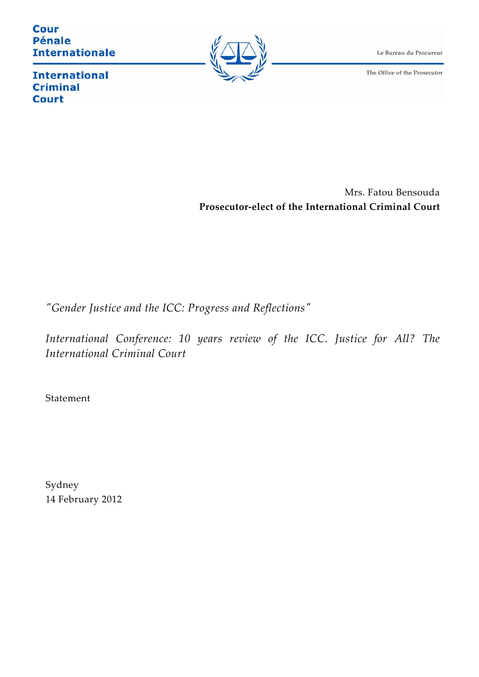**Cour Pénale Internationale** 



Le Bureau du Procureur

The Office of the Prosecutor

**International Criminal Court** 

> Mrs. Fatou Bensouda **Prosecutor‐elect of the International Criminal Court**

*ʺGender Justice and the ICC: Progress and Reflectionsʺ* 

*International Conference: 10 years review of the ICC. Justice for All? The International Criminal Court*

Statement

Sydney 14 February 2012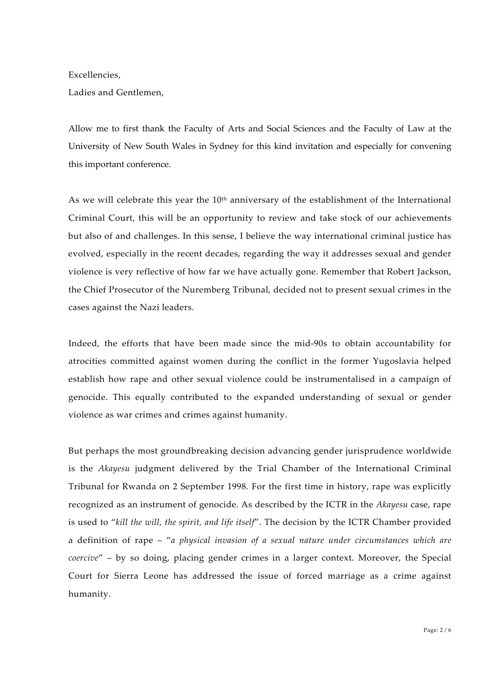Excellencies,

Ladies and Gentlemen,

Allow me to first thank the Faculty of Arts and Social Sciences and the Faculty of Law at the University of New South Wales in Sydney for this kind invitation and especially for convening this important conference.

As we will celebrate this year the 10<sup>th</sup> anniversary of the establishment of the International Criminal Court, this will be an opportunity to review and take stock of our achievements but also of and challenges. In this sense, I believe the way international criminal justice has evolved, especially in the recent decades, regarding the way it addresses sexual and gender violence is very reflective of how far we have actually gone. Remember that Robert Jackson, the Chief Prosecutor of the Nuremberg Tribunal, decided not to present sexual crimes in the cases against the Nazi leaders.

Indeed, the efforts that have been made since the mid‐90s to obtain accountability for atrocities committed against women during the conflict in the former Yugoslavia helped establish how rape and other sexual violence could be instrumentalised in a campaign of genocide. This equally contributed to the expanded understanding of sexual or gender violence as war crimes and crimes against humanity.

But perhaps the most groundbreaking decision advancing gender jurisprudence worldwide is the *Akayesu* judgment delivered by the Trial Chamber of the International Criminal Tribunal for Rwanda on 2 September 1998. For the first time in history, rape was explicitly recognized as an instrument of genocide. As described by the ICTR in the *Akayesu* case, rape is used to "*kill the will, the spirit, and life itself*". The decision by the ICTR Chamber provided a definition of rape – "*a physical invasion of a sexual nature under circumstances which are coercive*" – by so doing, placing gender crimes in a larger context. Moreover, the Special Court for Sierra Leone has addressed the issue of forced marriage as a crime against humanity.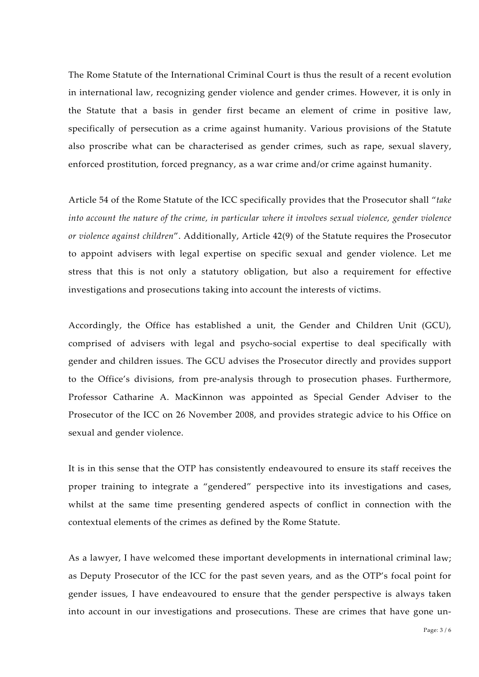The Rome Statute of the International Criminal Court is thus the result of a recent evolution in international law, recognizing gender violence and gender crimes. However, it is only in the Statute that a basis in gender first became an element of crime in positive law, specifically of persecution as a crime against humanity. Various provisions of the Statute also proscribe what can be characterised as gender crimes, such as rape, sexual slavery, enforced prostitution, forced pregnancy, as a war crime and/or crime against humanity.

Article 54 of the Rome Statute of the ICC specifically provides that the Prosecutor shall "*take into account the nature of the crime, in particular where it involves sexual violence, gender violence or violence against children*". Additionally, Article 42(9) of the Statute requires the Prosecutor to appoint advisers with legal expertise on specific sexual and gender violence. Let me stress that this is not only a statutory obligation, but also a requirement for effective investigations and prosecutions taking into account the interests of victims.

Accordingly, the Office has established a unit, the Gender and Children Unit (GCU), comprised of advisers with legal and psycho‐social expertise to deal specifically with gender and children issues. The GCU advises the Prosecutor directly and provides support to the Office's divisions, from pre‐analysis through to prosecution phases. Furthermore, Professor Catharine A. MacKinnon was appointed as Special Gender Adviser to the Prosecutor of the ICC on 26 November 2008, and provides strategic advice to his Office on sexual and gender violence.

It is in this sense that the OTP has consistently endeavoured to ensure its staff receives the proper training to integrate a "gendered" perspective into its investigations and cases, whilst at the same time presenting gendered aspects of conflict in connection with the contextual elements of the crimes as defined by the Rome Statute.

As a lawyer, I have welcomed these important developments in international criminal law; as Deputy Prosecutor of the ICC for the past seven years, and as the OTP's focal point for gender issues, I have endeavoured to ensure that the gender perspective is always taken into account in our investigations and prosecutions. These are crimes that have gone un-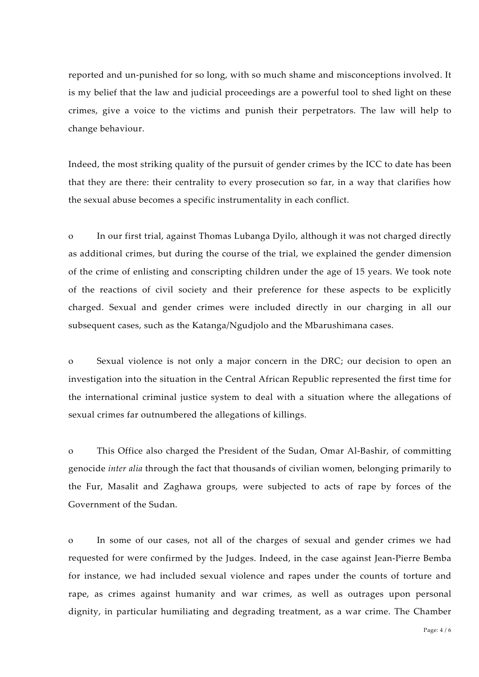reported and un‐punished for so long, with so much shame and misconceptions involved. It is my belief that the law and judicial proceedings are a powerful tool to shed light on these crimes, give a voice to the victims and punish their perpetrators. The law will help to change behaviour.

Indeed, the most striking quality of the pursuit of gender crimes by the ICC to date has been that they are there: their centrality to every prosecution so far, in a way that clarifies how the sexual abuse becomes a specific instrumentality in each conflict.

o In our first trial, against Thomas Lubanga Dyilo, although it was not charged directly as additional crimes, but during the course of the trial, we explained the gender dimension of the crime of enlisting and conscripting children under the age of 15 years. We took note of the reactions of civil society and their preference for these aspects to be explicitly charged. Sexual and gender crimes were included directly in our charging in all our subsequent cases, such as the Katanga/Ngudjolo and the Mbarushimana cases.

o Sexual violence is not only a major concern in the DRC; our decision to open an investigation into the situation in the Central African Republic represented the first time for the international criminal justice system to deal with a situation where the allegations of sexual crimes far outnumbered the allegations of killings.

o This Office also charged the President of the Sudan, Omar Al‐Bashir, of committing genocide *inter alia* through the fact that thousands of civilian women, belonging primarily to the Fur, Masalit and Zaghawa groups, were subjected to acts of rape by forces of the Government of the Sudan.

o In some of our cases, not all of the charges of sexual and gender crimes we had requested for were confirmed by the Judges. Indeed, in the case against Jean‐Pierre Bemba for instance, we had included sexual violence and rapes under the counts of torture and rape, as crimes against humanity and war crimes, as well as outrages upon personal dignity, in particular humiliating and degrading treatment, as a war crime. The Chamber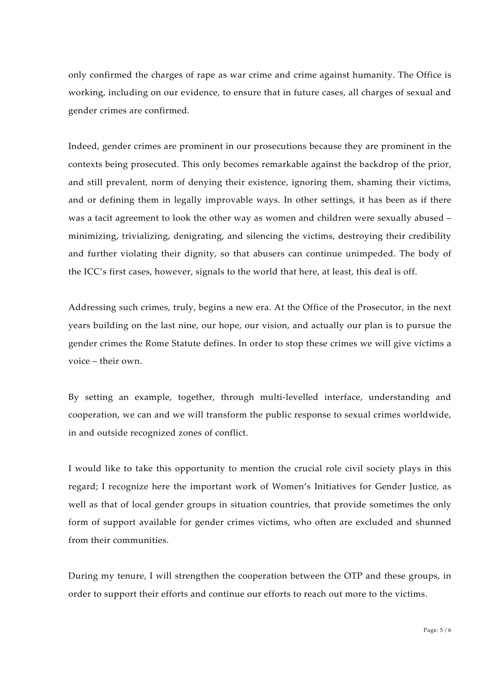only confirmed the charges of rape as war crime and crime against humanity. The Office is working, including on our evidence, to ensure that in future cases, all charges of sexual and gender crimes are confirmed.

Indeed, gender crimes are prominent in our prosecutions because they are prominent in the contexts being prosecuted. This only becomes remarkable against the backdrop of the prior, and still prevalent, norm of denying their existence, ignoring them, shaming their victims, and or defining them in legally improvable ways. In other settings, it has been as if there was a tacit agreement to look the other way as women and children were sexually abused – minimizing, trivializing, denigrating, and silencing the victims, destroying their credibility and further violating their dignity, so that abusers can continue unimpeded. The body of the ICC's first cases, however, signals to the world that here, at least, this deal is off.

Addressing such crimes, truly, begins a new era. At the Office of the Prosecutor, in the next years building on the last nine, our hope, our vision, and actually our plan is to pursue the gender crimes the Rome Statute defines. In order to stop these crimes we will give victims a voice – their own.

By setting an example, together, through multi‐levelled interface, understanding and cooperation, we can and we will transform the public response to sexual crimes worldwide, in and outside recognized zones of conflict.

I would like to take this opportunity to mention the crucial role civil society plays in this regard; I recognize here the important work of Women's Initiatives for Gender Justice, as well as that of local gender groups in situation countries, that provide sometimes the only form of support available for gender crimes victims, who often are excluded and shunned from their communities.

During my tenure, I will strengthen the cooperation between the OTP and these groups, in order to support their efforts and continue our efforts to reach out more to the victims.